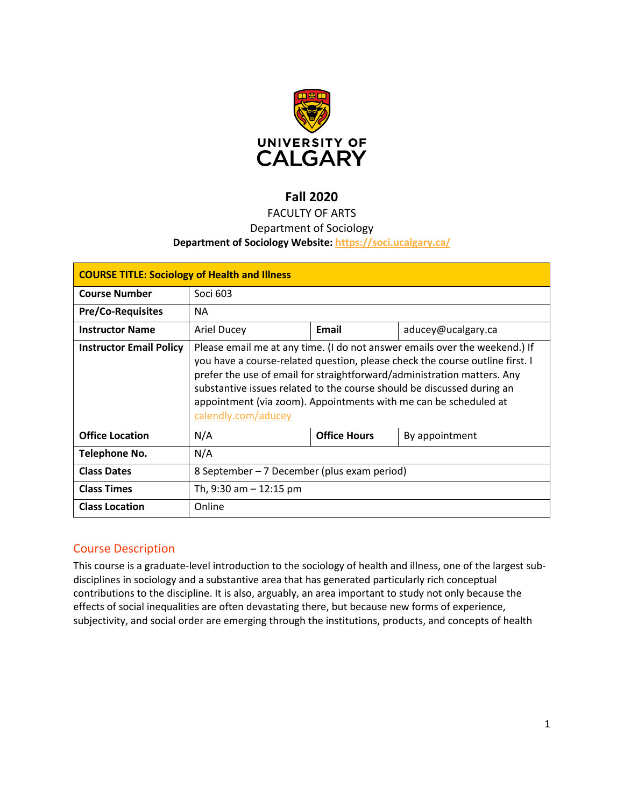

# **Fall 2020**

# FACULTY OF ARTS

# Department of Sociology

# **Department of Sociology Website:<https://soci.ucalgary.ca/>**

| <b>COURSE TITLE: Sociology of Health and Illness</b> |                                                                                                                                                                                                                                                                                                                                                                                                            |                     |                    |  |  |
|------------------------------------------------------|------------------------------------------------------------------------------------------------------------------------------------------------------------------------------------------------------------------------------------------------------------------------------------------------------------------------------------------------------------------------------------------------------------|---------------------|--------------------|--|--|
| <b>Course Number</b>                                 | Soci 603                                                                                                                                                                                                                                                                                                                                                                                                   |                     |                    |  |  |
| <b>Pre/Co-Requisites</b>                             | <b>NA</b>                                                                                                                                                                                                                                                                                                                                                                                                  |                     |                    |  |  |
| <b>Instructor Name</b>                               | <b>Ariel Ducey</b>                                                                                                                                                                                                                                                                                                                                                                                         | Email               | aducey@ucalgary.ca |  |  |
| <b>Instructor Email Policy</b>                       | Please email me at any time. (I do not answer emails over the weekend.) If<br>you have a course-related question, please check the course outline first. I<br>prefer the use of email for straightforward/administration matters. Any<br>substantive issues related to the course should be discussed during an<br>appointment (via zoom). Appointments with me can be scheduled at<br>calendly.com/aducey |                     |                    |  |  |
| <b>Office Location</b>                               | N/A                                                                                                                                                                                                                                                                                                                                                                                                        | <b>Office Hours</b> | By appointment     |  |  |
| Telephone No.                                        | N/A                                                                                                                                                                                                                                                                                                                                                                                                        |                     |                    |  |  |
| <b>Class Dates</b>                                   | 8 September – 7 December (plus exam period)                                                                                                                                                                                                                                                                                                                                                                |                     |                    |  |  |
| <b>Class Times</b>                                   | Th, $9:30$ am $-12:15$ pm                                                                                                                                                                                                                                                                                                                                                                                  |                     |                    |  |  |
| <b>Class Location</b>                                | Online                                                                                                                                                                                                                                                                                                                                                                                                     |                     |                    |  |  |

# Course Description

This course is a graduate-level introduction to the sociology of health and illness, one of the largest subdisciplines in sociology and a substantive area that has generated particularly rich conceptual contributions to the discipline. It is also, arguably, an area important to study not only because the effects of social inequalities are often devastating there, but because new forms of experience, subjectivity, and social order are emerging through the institutions, products, and concepts of health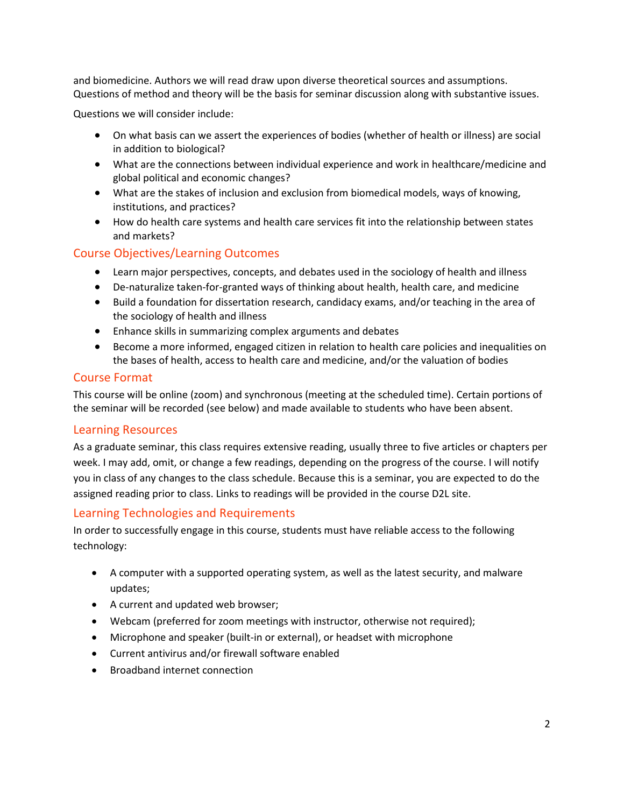and biomedicine. Authors we will read draw upon diverse theoretical sources and assumptions. Questions of method and theory will be the basis for seminar discussion along with substantive issues.

Questions we will consider include:

- On what basis can we assert the experiences of bodies (whether of health or illness) are social in addition to biological?
- What are the connections between individual experience and work in healthcare/medicine and global political and economic changes?
- What are the stakes of inclusion and exclusion from biomedical models, ways of knowing, institutions, and practices?
- How do health care systems and health care services fit into the relationship between states and markets?

# Course Objectives/Learning Outcomes

- Learn major perspectives, concepts, and debates used in the sociology of health and illness
- De-naturalize taken-for-granted ways of thinking about health, health care, and medicine
- Build a foundation for dissertation research, candidacy exams, and/or teaching in the area of the sociology of health and illness
- Enhance skills in summarizing complex arguments and debates
- Become a more informed, engaged citizen in relation to health care policies and inequalities on the bases of health, access to health care and medicine, and/or the valuation of bodies

### Course Format

This course will be online (zoom) and synchronous (meeting at the scheduled time). Certain portions of the seminar will be recorded (see below) and made available to students who have been absent.

#### Learning Resources

As a graduate seminar, this class requires extensive reading, usually three to five articles or chapters per week. I may add, omit, or change a few readings, depending on the progress of the course. I will notify you in class of any changes to the class schedule. Because this is a seminar, you are expected to do the assigned reading prior to class. Links to readings will be provided in the course D2L site.

# Learning Technologies and Requirements

In order to successfully engage in this course, students must have reliable access to the following technology:

- A computer with a supported operating system, as well as the latest security, and malware updates;
- A current and updated web browser;
- Webcam (preferred for zoom meetings with instructor, otherwise not required);
- Microphone and speaker (built-in or external), or headset with microphone
- Current antivirus and/or firewall software enabled
- Broadband internet connection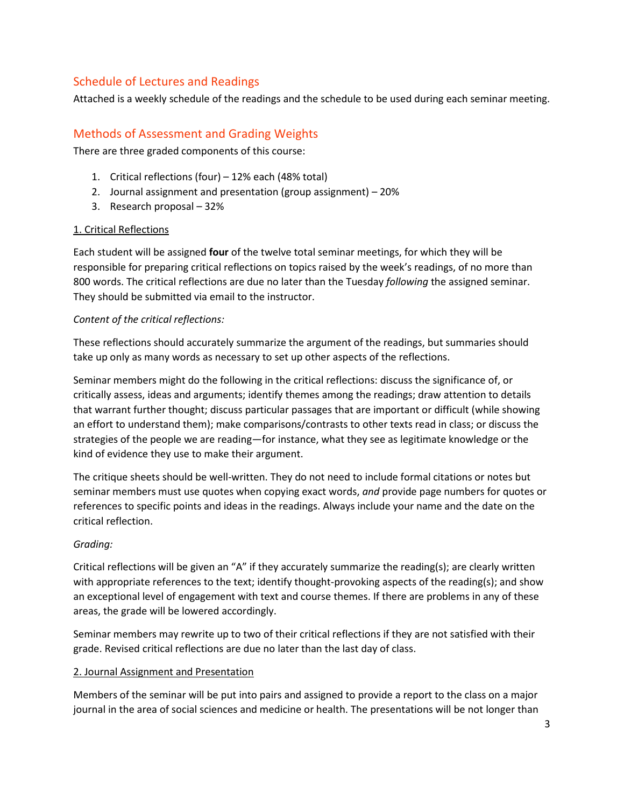# Schedule of Lectures and Readings

Attached is a weekly schedule of the readings and the schedule to be used during each seminar meeting.

# Methods of Assessment and Grading Weights

There are three graded components of this course:

- 1. Critical reflections (four) 12% each (48% total)
- 2. Journal assignment and presentation (group assignment) 20%
- 3. Research proposal 32%

#### 1. Critical Reflections

Each student will be assigned **four** of the twelve total seminar meetings, for which they will be responsible for preparing critical reflections on topics raised by the week's readings, of no more than 800 words. The critical reflections are due no later than the Tuesday *following* the assigned seminar. They should be submitted via email to the instructor.

#### *Content of the critical reflections:*

These reflections should accurately summarize the argument of the readings, but summaries should take up only as many words as necessary to set up other aspects of the reflections.

Seminar members might do the following in the critical reflections: discuss the significance of, or critically assess, ideas and arguments; identify themes among the readings; draw attention to details that warrant further thought; discuss particular passages that are important or difficult (while showing an effort to understand them); make comparisons/contrasts to other texts read in class; or discuss the strategies of the people we are reading—for instance, what they see as legitimate knowledge or the kind of evidence they use to make their argument.

The critique sheets should be well-written. They do not need to include formal citations or notes but seminar members must use quotes when copying exact words, *and* provide page numbers for quotes or references to specific points and ideas in the readings. Always include your name and the date on the critical reflection.

#### *Grading:*

Critical reflections will be given an "A" if they accurately summarize the reading(s); are clearly written with appropriate references to the text; identify thought-provoking aspects of the reading(s); and show an exceptional level of engagement with text and course themes. If there are problems in any of these areas, the grade will be lowered accordingly.

Seminar members may rewrite up to two of their critical reflections if they are not satisfied with their grade. Revised critical reflections are due no later than the last day of class.

#### 2. Journal Assignment and Presentation

Members of the seminar will be put into pairs and assigned to provide a report to the class on a major journal in the area of social sciences and medicine or health. The presentations will be not longer than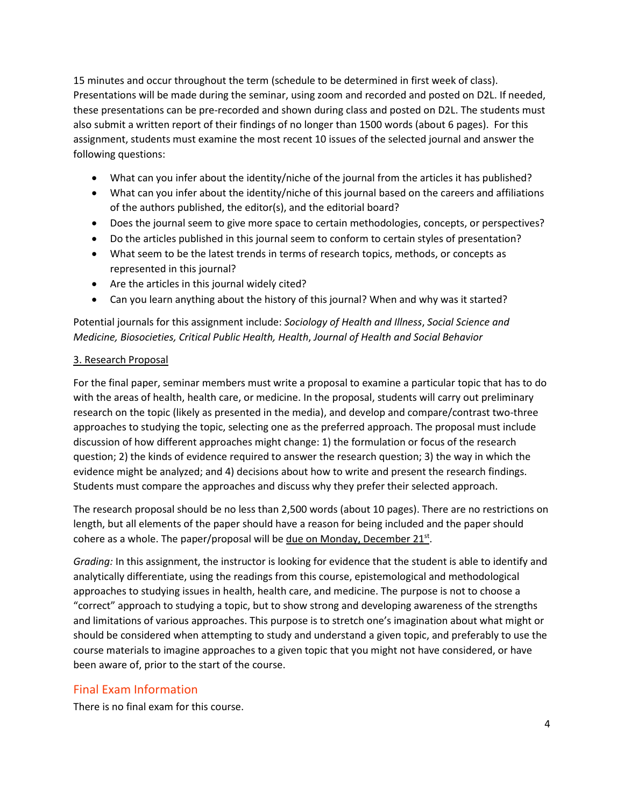15 minutes and occur throughout the term (schedule to be determined in first week of class). Presentations will be made during the seminar, using zoom and recorded and posted on D2L. If needed, these presentations can be pre-recorded and shown during class and posted on D2L. The students must also submit a written report of their findings of no longer than 1500 words (about 6 pages). For this assignment, students must examine the most recent 10 issues of the selected journal and answer the following questions:

- What can you infer about the identity/niche of the journal from the articles it has published?
- What can you infer about the identity/niche of this journal based on the careers and affiliations of the authors published, the editor(s), and the editorial board?
- Does the journal seem to give more space to certain methodologies, concepts, or perspectives?
- Do the articles published in this journal seem to conform to certain styles of presentation?
- What seem to be the latest trends in terms of research topics, methods, or concepts as represented in this journal?
- Are the articles in this journal widely cited?
- Can you learn anything about the history of this journal? When and why was it started?

Potential journals for this assignment include: *Sociology of Health and Illness*, *Social Science and Medicine, Biosocieties, Critical Public Health, Health*, *Journal of Health and Social Behavior* 

#### 3. Research Proposal

For the final paper, seminar members must write a proposal to examine a particular topic that has to do with the areas of health, health care, or medicine. In the proposal, students will carry out preliminary research on the topic (likely as presented in the media), and develop and compare/contrast two-three approaches to studying the topic, selecting one as the preferred approach. The proposal must include discussion of how different approaches might change: 1) the formulation or focus of the research question; 2) the kinds of evidence required to answer the research question; 3) the way in which the evidence might be analyzed; and 4) decisions about how to write and present the research findings. Students must compare the approaches and discuss why they prefer their selected approach.

The research proposal should be no less than 2,500 words (about 10 pages). There are no restrictions on length, but all elements of the paper should have a reason for being included and the paper should cohere as a whole. The paper/proposal will be due on Monday, December  $21^{st}$ .

*Grading:* In this assignment, the instructor is looking for evidence that the student is able to identify and analytically differentiate, using the readings from this course, epistemological and methodological approaches to studying issues in health, health care, and medicine. The purpose is not to choose a "correct" approach to studying a topic, but to show strong and developing awareness of the strengths and limitations of various approaches. This purpose is to stretch one's imagination about what might or should be considered when attempting to study and understand a given topic, and preferably to use the course materials to imagine approaches to a given topic that you might not have considered, or have been aware of, prior to the start of the course.

# Final Exam Information

There is no final exam for this course.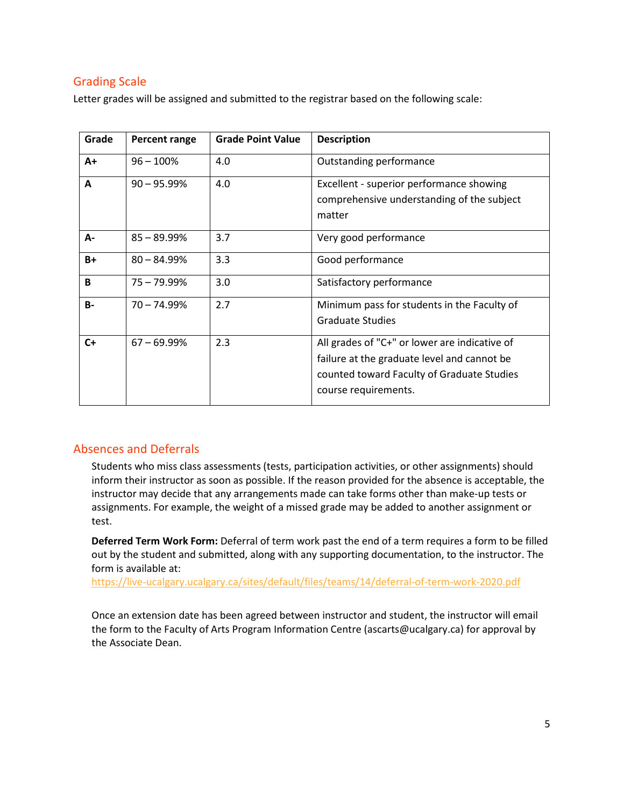# Grading Scale

Letter grades will be assigned and submitted to the registrar based on the following scale:

| Grade | Percent range  | <b>Grade Point Value</b> | <b>Description</b>                                                                                                                                                 |
|-------|----------------|--------------------------|--------------------------------------------------------------------------------------------------------------------------------------------------------------------|
| $A+$  | $96 - 100%$    | 4.0                      | Outstanding performance                                                                                                                                            |
| A     | $90 - 95.99\%$ | 4.0                      | Excellent - superior performance showing<br>comprehensive understanding of the subject<br>matter                                                                   |
| A-    | $85 - 89.99\%$ | 3.7                      | Very good performance                                                                                                                                              |
| B+    | $80 - 84.99\%$ | 3.3                      | Good performance                                                                                                                                                   |
| B     | 75 - 79.99%    | 3.0                      | Satisfactory performance                                                                                                                                           |
| $B -$ | $70 - 74.99%$  | 2.7                      | Minimum pass for students in the Faculty of<br><b>Graduate Studies</b>                                                                                             |
| $C+$  | $67 - 69.99\%$ | 2.3                      | All grades of "C+" or lower are indicative of<br>failure at the graduate level and cannot be<br>counted toward Faculty of Graduate Studies<br>course requirements. |

# Absences and Deferrals

Students who miss class assessments (tests, participation activities, or other assignments) should inform their instructor as soon as possible. If the reason provided for the absence is acceptable, the instructor may decide that any arrangements made can take forms other than make-up tests or assignments. For example, the weight of a missed grade may be added to another assignment or test.

**Deferred Term Work Form:** Deferral of term work past the end of a term requires a form to be filled out by the student and submitted, along with any supporting documentation, to the instructor. The form is available at:

<https://live-ucalgary.ucalgary.ca/sites/default/files/teams/14/deferral-of-term-work-2020.pdf>

Once an extension date has been agreed between instructor and student, the instructor will email the form to the Faculty of Arts Program Information Centre (ascarts@ucalgary.ca) for approval by the Associate Dean.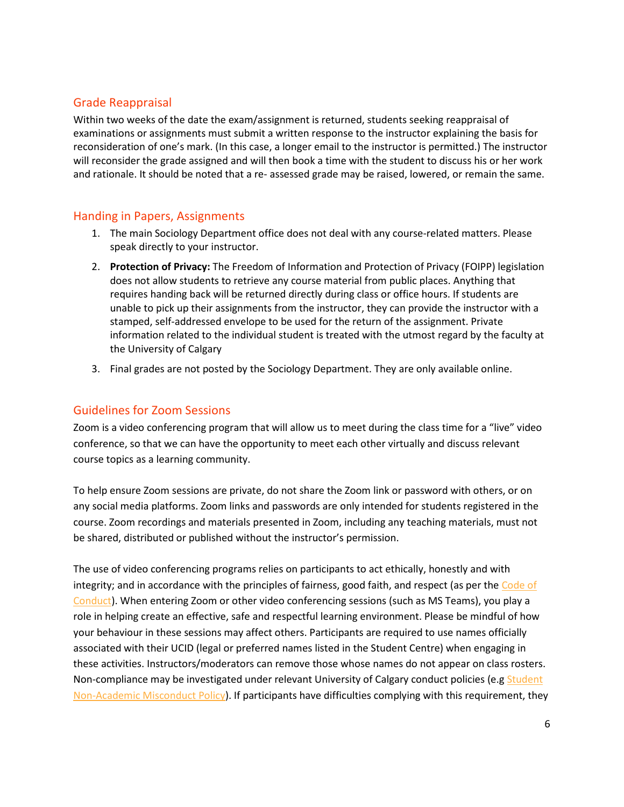# Grade Reappraisal

Within two weeks of the date the exam/assignment is returned, students seeking reappraisal of examinations or assignments must submit a written response to the instructor explaining the basis for reconsideration of one's mark. (In this case, a longer email to the instructor is permitted.) The instructor will reconsider the grade assigned and will then book a time with the student to discuss his or her work and rationale. It should be noted that a re- assessed grade may be raised, lowered, or remain the same.

# Handing in Papers, Assignments

- 1. The main Sociology Department office does not deal with any course-related matters. Please speak directly to your instructor.
- 2. **Protection of Privacy:** The Freedom of Information and Protection of Privacy (FOIPP) legislation does not allow students to retrieve any course material from public places. Anything that requires handing back will be returned directly during class or office hours. If students are unable to pick up their assignments from the instructor, they can provide the instructor with a stamped, self-addressed envelope to be used for the return of the assignment. Private information related to the individual student is treated with the utmost regard by the faculty at the University of Calgary
- 3. Final grades are not posted by the Sociology Department. They are only available online.

# Guidelines for Zoom Sessions

Zoom is a video conferencing program that will allow us to meet during the class time for a "live" video conference, so that we can have the opportunity to meet each other virtually and discuss relevant course topics as a learning community.

To help ensure Zoom sessions are private, do not share the Zoom link or password with others, or on any social media platforms. Zoom links and passwords are only intended for students registered in the course. Zoom recordings and materials presented in Zoom, including any teaching materials, must not be shared, distributed or published without the instructor's permission.

The use of video conferencing programs relies on participants to act ethically, honestly and with integrity; and in accordance with the principles of fairness, good faith, and respect (as per the [Code of](https://www.ucalgary.ca/policies/files/policies/code-of-conduct.pdf)  [Conduct\)](https://www.ucalgary.ca/policies/files/policies/code-of-conduct.pdf). When entering Zoom or other video conferencing sessions (such as MS Teams), you play a role in helping create an effective, safe and respectful learning environment. Please be mindful of how your behaviour in these sessions may affect others. Participants are required to use names officially associated with their UCID (legal or preferred names listed in the Student Centre) when engaging in these activities. Instructors/moderators can remove those whose names do not appear on class rosters. Non-compliance may be investigated under relevant University of Calgary conduct policies (e.g Student [Non-Academic Misconduct Policy\)](https://ucalgary.ca/policies/files/policies/non-academic-misconduct-policy.pdf). If participants have difficulties complying with this requirement, they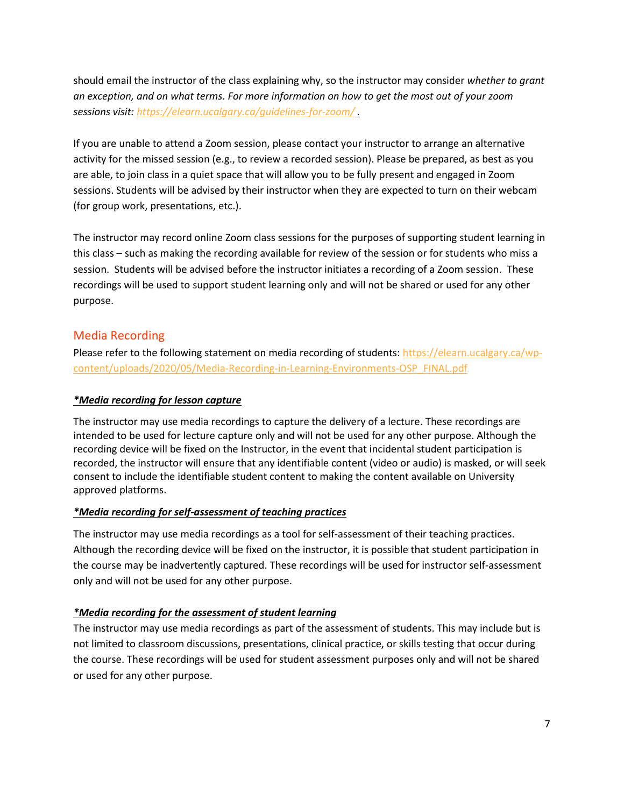should email the instructor of the class explaining why, so the instructor may consider *whether to grant an exception, and on what terms. For more information on how to get the most out of your zoom sessions visit:<https://elearn.ucalgary.ca/guidelines-for-zoom/> .*

If you are unable to attend a Zoom session, please contact your instructor to arrange an alternative activity for the missed session (e.g., to review a recorded session). Please be prepared, as best as you are able, to join class in a quiet space that will allow you to be fully present and engaged in Zoom sessions. Students will be advised by their instructor when they are expected to turn on their webcam (for group work, presentations, etc.).

The instructor may record online Zoom class sessions for the purposes of supporting student learning in this class – such as making the recording available for review of the session or for students who miss a session. Students will be advised before the instructor initiates a recording of a Zoom session. These recordings will be used to support student learning only and will not be shared or used for any other purpose.

# Media Recording

Please refer to the following statement on media recording of students: [https://elearn.ucalgary.ca/wp](https://elearn.ucalgary.ca/wp-content/uploads/2020/05/Media-Recording-in-Learning-Environments-OSP_FINAL.pdf)[content/uploads/2020/05/Media-Recording-in-Learning-Environments-OSP\\_FINAL.pdf](https://elearn.ucalgary.ca/wp-content/uploads/2020/05/Media-Recording-in-Learning-Environments-OSP_FINAL.pdf)

### *\*Media recording for lesson capture*

The instructor may use media recordings to capture the delivery of a lecture. These recordings are intended to be used for lecture capture only and will not be used for any other purpose. Although the recording device will be fixed on the Instructor, in the event that incidental student participation is recorded, the instructor will ensure that any identifiable content (video or audio) is masked, or will seek consent to include the identifiable student content to making the content available on University approved platforms.

#### *\*Media recording for self-assessment of teaching practices*

The instructor may use media recordings as a tool for self-assessment of their teaching practices. Although the recording device will be fixed on the instructor, it is possible that student participation in the course may be inadvertently captured. These recordings will be used for instructor self-assessment only and will not be used for any other purpose.

#### *\*Media recording for the assessment of student learning*

The instructor may use media recordings as part of the assessment of students. This may include but is not limited to classroom discussions, presentations, clinical practice, or skills testing that occur during the course. These recordings will be used for student assessment purposes only and will not be shared or used for any other purpose.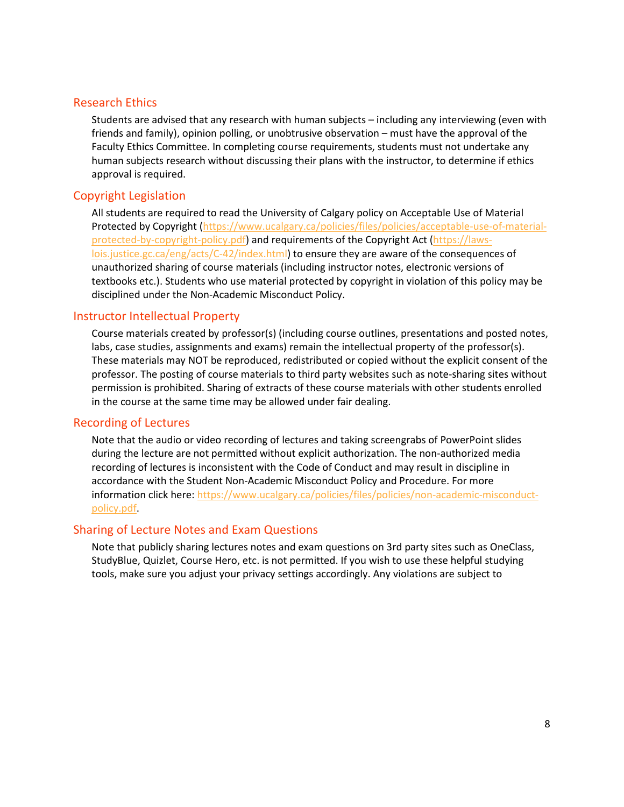#### Research Ethics

Students are advised that any research with human subjects – including any interviewing (even with friends and family), opinion polling, or unobtrusive observation – must have the approval of the Faculty Ethics Committee. In completing course requirements, students must not undertake any human subjects research without discussing their plans with the instructor, to determine if ethics approval is required.

### Copyright Legislation

All students are required to read the University of Calgary policy on Acceptable Use of Material Protected by Copyright [\(https://www.ucalgary.ca/policies/files/policies/acceptable-use-of-material](https://www.ucalgary.ca/policies/files/policies/acceptable-use-of-material-protected-by-copyright-policy.pdf)[protected-by-copyright-policy.pdf\)](https://www.ucalgary.ca/policies/files/policies/acceptable-use-of-material-protected-by-copyright-policy.pdf) and requirements of the Copyright Act [\(https://laws](https://laws-lois.justice.gc.ca/eng/acts/C-42/index.html)[lois.justice.gc.ca/eng/acts/C-42/index.html\)](https://laws-lois.justice.gc.ca/eng/acts/C-42/index.html) to ensure they are aware of the consequences of unauthorized sharing of course materials (including instructor notes, electronic versions of textbooks etc.). Students who use material protected by copyright in violation of this policy may be disciplined under the Non-Academic Misconduct Policy.

### Instructor Intellectual Property

Course materials created by professor(s) (including course outlines, presentations and posted notes, labs, case studies, assignments and exams) remain the intellectual property of the professor(s). These materials may NOT be reproduced, redistributed or copied without the explicit consent of the professor. The posting of course materials to third party websites such as note-sharing sites without permission is prohibited. Sharing of extracts of these course materials with other students enrolled in the course at the same time may be allowed under fair dealing.

#### Recording of Lectures

Note that the audio or video recording of lectures and taking screengrabs of PowerPoint slides during the lecture are not permitted without explicit authorization. The non-authorized media recording of lectures is inconsistent with the Code of Conduct and may result in discipline in accordance with the Student Non-Academic Misconduct Policy and Procedure. For more information click here: [https://www.ucalgary.ca/policies/files/policies/non-academic-misconduct](https://www.ucalgary.ca/policies/files/policies/non-academic-misconduct-policy.pdf)[policy.pdf.](https://www.ucalgary.ca/policies/files/policies/non-academic-misconduct-policy.pdf)

#### Sharing of Lecture Notes and Exam Questions

Note that publicly sharing lectures notes and exam questions on 3rd party sites such as OneClass, StudyBlue, Quizlet, Course Hero, etc. is not permitted. If you wish to use these helpful studying tools, make sure you adjust your privacy settings accordingly. Any violations are subject to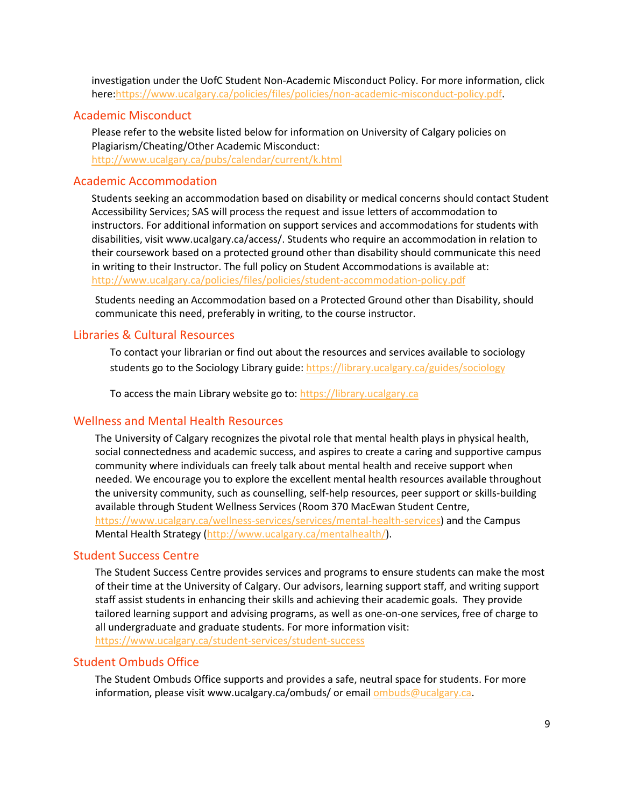investigation under the UofC Student Non-Academic Misconduct Policy. For more information, click here[:https://www.ucalgary.ca/policies/files/policies/non-academic-misconduct-policy.pdf.](https://www.ucalgary.ca/policies/files/policies/non-academic-misconduct-policy.pdf)

#### Academic Misconduct

Please refer to the website listed below for information on University of Calgary policies on Plagiarism/Cheating/Other Academic Misconduct: <http://www.ucalgary.ca/pubs/calendar/current/k.html>

#### Academic Accommodation

Students seeking an accommodation based on disability or medical concerns should contact Student Accessibility Services; SAS will process the request and issue letters of accommodation to instructors. For additional information on support services and accommodations for students with disabilities, visit www.ucalgary.ca/access/. Students who require an accommodation in relation to their coursework based on a protected ground other than disability should communicate this need in writing to their Instructor. The full policy on Student Accommodations is available at: <http://www.ucalgary.ca/policies/files/policies/student-accommodation-policy.pdf>

Students needing an Accommodation based on a Protected Ground other than Disability, should communicate this need, preferably in writing, to the course instructor.

# Libraries & Cultural Resources

To contact your librarian or find out about the resources and services available to sociology students go to the Sociology Library guide[: https://library.ucalgary.ca/guides/sociology](https://library.ucalgary.ca/guides/sociology)

To access the main Library website go to: [https://library.ucalgary.ca](https://library.ucalgary.ca/)

### Wellness and Mental Health Resources

The University of Calgary recognizes the pivotal role that mental health plays in physical health, social connectedness and academic success, and aspires to create a caring and supportive campus community where individuals can freely talk about mental health and receive support when needed. We encourage you to explore the excellent mental health resources available throughout the university community, such as counselling, self-help resources, peer support or skills-building available through Student Wellness Services (Room 370 MacEwan Student Centre, [https://www.ucalgary.ca/wellness-services/services/mental-health-services\)](https://www.ucalgary.ca/wellness-services/services/mental-health-services) and the Campus Mental Health Strategy [\(http://www.ucalgary.ca/mentalhealth/\)](http://www.ucalgary.ca/mentalhealth/).

### Student Success Centre

The Student Success Centre provides services and programs to ensure students can make the most of their time at the University of Calgary. Our advisors, learning support staff, and writing support staff assist students in enhancing their skills and achieving their academic goals. They provide tailored learning support and advising programs, as well as one-on-one services, free of charge to all undergraduate and graduate students. For more information visit: <https://www.ucalgary.ca/student-services/student-success>

#### Student Ombuds Office

The Student Ombuds Office supports and provides a safe, neutral space for students. For more information, please visit www.ucalgary.ca/ombuds/ or email **ombuds@ucalgary.ca**.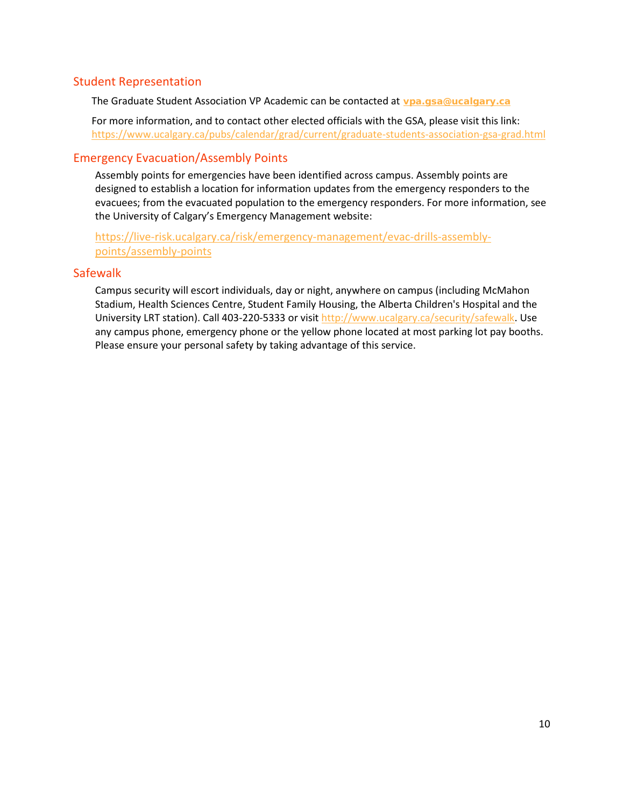# Student Representation

The Graduate Student Association VP Academic can be contacted at **vpa.gsa@ucalgary.ca**

For more information, and to contact other elected officials with the GSA, please visit this link: https://www.ucalgary.ca/pubs/calendar/grad/current/graduate-students-association-gsa-grad.html

# Emergency Evacuation/Assembly Points

Assembly points for emergencies have been identified across campus. Assembly points are designed to establish a location for information updates from the emergency responders to the evacuees; from the evacuated population to the emergency responders. For more information, see the University of Calgary's Emergency Management website:

[https://live-risk.ucalgary.ca/risk/emergency-management/evac-drills-assembly](https://live-risk.ucalgary.ca/risk/emergency-management/evac-drills-assembly-points/assembly-points)[points/assembly-points](https://live-risk.ucalgary.ca/risk/emergency-management/evac-drills-assembly-points/assembly-points)

# **Safewalk**

Campus security will escort individuals, day or night, anywhere on campus (including McMahon Stadium, Health Sciences Centre, Student Family Housing, the Alberta Children's Hospital and the University LRT station). Call 403-220-5333 or visit [http://www.ucalgary.ca/security/safewalk.](http://www.ucalgary.ca/security/safewalk) Use any campus phone, emergency phone or the yellow phone located at most parking lot pay booths. Please ensure your personal safety by taking advantage of this service.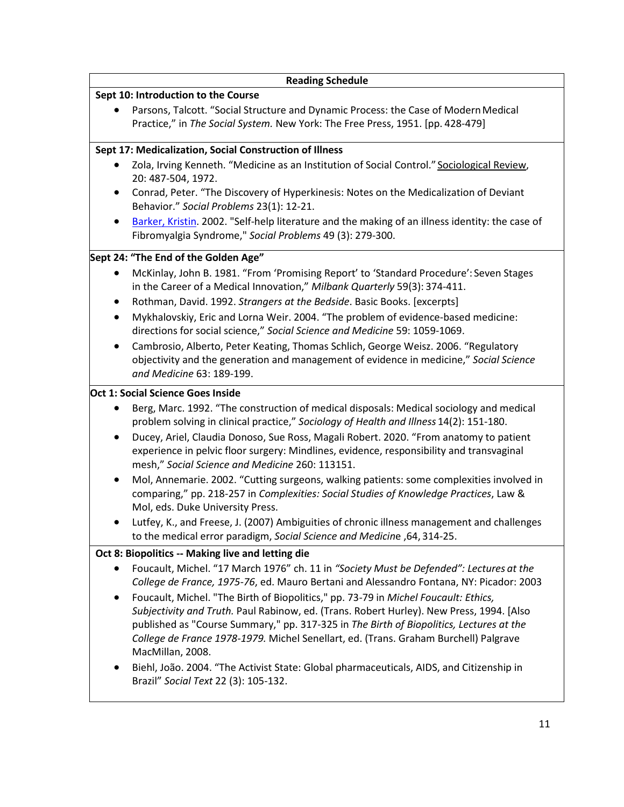|                                                         | <b>Reading Schedule</b>                                                                                                                                                                                                                                                                                                                                                                                                                                                            |  |  |  |  |
|---------------------------------------------------------|------------------------------------------------------------------------------------------------------------------------------------------------------------------------------------------------------------------------------------------------------------------------------------------------------------------------------------------------------------------------------------------------------------------------------------------------------------------------------------|--|--|--|--|
|                                                         | Sept 10: Introduction to the Course                                                                                                                                                                                                                                                                                                                                                                                                                                                |  |  |  |  |
|                                                         | Parsons, Talcott. "Social Structure and Dynamic Process: the Case of Modern Medical<br>Practice," in The Social System. New York: The Free Press, 1951. [pp. 428-479]                                                                                                                                                                                                                                                                                                              |  |  |  |  |
| Sept 17: Medicalization, Social Construction of Illness |                                                                                                                                                                                                                                                                                                                                                                                                                                                                                    |  |  |  |  |
|                                                         | Zola, Irving Kenneth. "Medicine as an Institution of Social Control." Sociological Review,<br>20: 487-504, 1972.                                                                                                                                                                                                                                                                                                                                                                   |  |  |  |  |
| ٠                                                       | Conrad, Peter. "The Discovery of Hyperkinesis: Notes on the Medicalization of Deviant<br>Behavior." Social Problems 23(1): 12-21.                                                                                                                                                                                                                                                                                                                                                  |  |  |  |  |
| $\bullet$                                               | Barker, Kristin. 2002. "Self-help literature and the making of an illness identity: the case of<br>Fibromyalgia Syndrome," Social Problems 49 (3): 279-300.                                                                                                                                                                                                                                                                                                                        |  |  |  |  |
|                                                         | Sept 24: "The End of the Golden Age"                                                                                                                                                                                                                                                                                                                                                                                                                                               |  |  |  |  |
| ٠                                                       | McKinlay, John B. 1981. "From 'Promising Report' to 'Standard Procedure': Seven Stages<br>in the Career of a Medical Innovation," Milbank Quarterly 59(3): 374-411.                                                                                                                                                                                                                                                                                                                |  |  |  |  |
| ٠                                                       | Rothman, David. 1992. Strangers at the Bedside. Basic Books. [excerpts]                                                                                                                                                                                                                                                                                                                                                                                                            |  |  |  |  |
| $\bullet$                                               | Mykhalovskiy, Eric and Lorna Weir. 2004. "The problem of evidence-based medicine:<br>directions for social science," Social Science and Medicine 59: 1059-1069.                                                                                                                                                                                                                                                                                                                    |  |  |  |  |
| $\bullet$                                               | Cambrosio, Alberto, Peter Keating, Thomas Schlich, George Weisz. 2006. "Regulatory<br>objectivity and the generation and management of evidence in medicine," Social Science<br>and Medicine 63: 189-199.                                                                                                                                                                                                                                                                          |  |  |  |  |
|                                                         | Oct 1: Social Science Goes Inside                                                                                                                                                                                                                                                                                                                                                                                                                                                  |  |  |  |  |
| ٠<br>٠                                                  | Berg, Marc. 1992. "The construction of medical disposals: Medical sociology and medical<br>problem solving in clinical practice," Sociology of Health and Illness 14(2): 151-180.<br>Ducey, Ariel, Claudia Donoso, Sue Ross, Magali Robert. 2020. "From anatomy to patient<br>experience in pelvic floor surgery: Mindlines, evidence, responsibility and transvaginal                                                                                                             |  |  |  |  |
| ٠                                                       | mesh," Social Science and Medicine 260: 113151.<br>Mol, Annemarie. 2002. "Cutting surgeons, walking patients: some complexities involved in<br>comparing," pp. 218-257 in Complexities: Social Studies of Knowledge Practices, Law &<br>Mol, eds. Duke University Press.<br>Lutfey, K., and Freese, J. (2007) Ambiguities of chronic illness management and challenges                                                                                                             |  |  |  |  |
| ٠                                                       | to the medical error paradigm, Social Science and Medicine, 64, 314-25.                                                                                                                                                                                                                                                                                                                                                                                                            |  |  |  |  |
|                                                         | Oct 8: Biopolitics -- Making live and letting die                                                                                                                                                                                                                                                                                                                                                                                                                                  |  |  |  |  |
| ٠                                                       | Foucault, Michel. "17 March 1976" ch. 11 in "Society Must be Defended": Lectures at the<br>College de France, 1975-76, ed. Mauro Bertani and Alessandro Fontana, NY: Picador: 2003                                                                                                                                                                                                                                                                                                 |  |  |  |  |
| $\bullet$<br>$\bullet$                                  | Foucault, Michel. "The Birth of Biopolitics," pp. 73-79 in Michel Foucault: Ethics,<br>Subjectivity and Truth. Paul Rabinow, ed. (Trans. Robert Hurley). New Press, 1994. [Also<br>published as "Course Summary," pp. 317-325 in The Birth of Biopolitics, Lectures at the<br>College de France 1978-1979. Michel Senellart, ed. (Trans. Graham Burchell) Palgrave<br>MacMillan, 2008.<br>Biehl, João. 2004. "The Activist State: Global pharmaceuticals, AIDS, and Citizenship in |  |  |  |  |
|                                                         | Brazil" Social Text 22 (3): 105-132.                                                                                                                                                                                                                                                                                                                                                                                                                                               |  |  |  |  |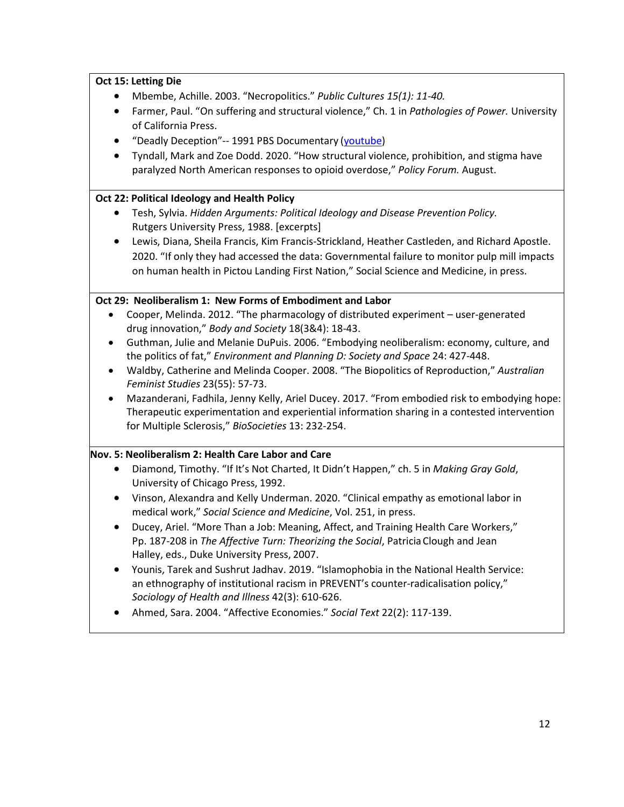### **Oct 15: Letting Die**

- Mbembe, Achille. 2003. "Necropolitics." *Public Cultures 15(1): 11-40.*
- Farmer, Paul. "On suffering and structural violence," Ch. 1 in *Pathologies of Power.* University of California Press.
- "Deadly Deception"-- 1991 PBS Documentary [\(youtube\)](https://www.youtube.com/watch?v=vmVTmhYa52A&index=2&list=PLjLAhYN93TzUiQl8JwusdX6q4kXIPwVhi)
- Tyndall, Mark and Zoe Dodd. 2020. "How structural violence, prohibition, and stigma have paralyzed North American responses to opioid overdose," *Policy Forum.* August.

#### **Oct 22: Political Ideology and Health Policy**

- Tesh, Sylvia. *Hidden Arguments: Political Ideology and Disease Prevention Policy.* Rutgers University Press, 1988. [excerpts]
- Lewis, Diana, Sheila Francis, Kim Francis-Strickland, Heather Castleden, and Richard Apostle. 2020. "If only they had accessed the data: Governmental failure to monitor pulp mill impacts on human health in Pictou Landing First Nation," Social Science and Medicine, in press.

#### **Oct 29: Neoliberalism 1: New Forms of Embodiment and Labor**

- Cooper, Melinda. 2012. "The pharmacology of distributed experiment user-generated drug innovation," *Body and Society* 18(3&4): 18-43.
- Guthman, Julie and Melanie DuPuis. 2006. "Embodying neoliberalism: economy, culture, and the politics of fat," *Environment and Planning D: Society and Space* 24: 427-448.
- Waldby, Catherine and Melinda Cooper. 2008. "The Biopolitics of Reproduction," *Australian Feminist Studies* 23(55): 57-73.
- Mazanderani, Fadhila, Jenny Kelly, Ariel Ducey. 2017. "From embodied risk to embodying hope: Therapeutic experimentation and experiential information sharing in a contested intervention for Multiple Sclerosis," *BioSocieties* 13: 232-254.

#### **Nov. 5: Neoliberalism 2: Health Care Labor and Care**

- Diamond, Timothy. "If It's Not Charted, It Didn't Happen," ch. 5 in *Making Gray Gold*, University of Chicago Press, 1992.
- Vinson, Alexandra and Kelly Underman. 2020. "Clinical empathy as emotional labor in medical work," *Social Science and Medicine*, Vol. 251, in press.
- Ducey, Ariel. "More Than a Job: Meaning, Affect, and Training Health Care Workers," Pp. 187-208 in *The Affective Turn: Theorizing the Social*, PatriciaClough and Jean Halley, eds., Duke University Press, 2007.
- Younis, Tarek and Sushrut Jadhav. 2019. "Islamophobia in the National Health Service: an ethnography of institutional racism in PREVENT's counter-radicalisation policy," *Sociology of Health and Illness* 42(3): 610-626.
- Ahmed, Sara. 2004. "Affective Economies." *Social Text* 22(2): 117-139.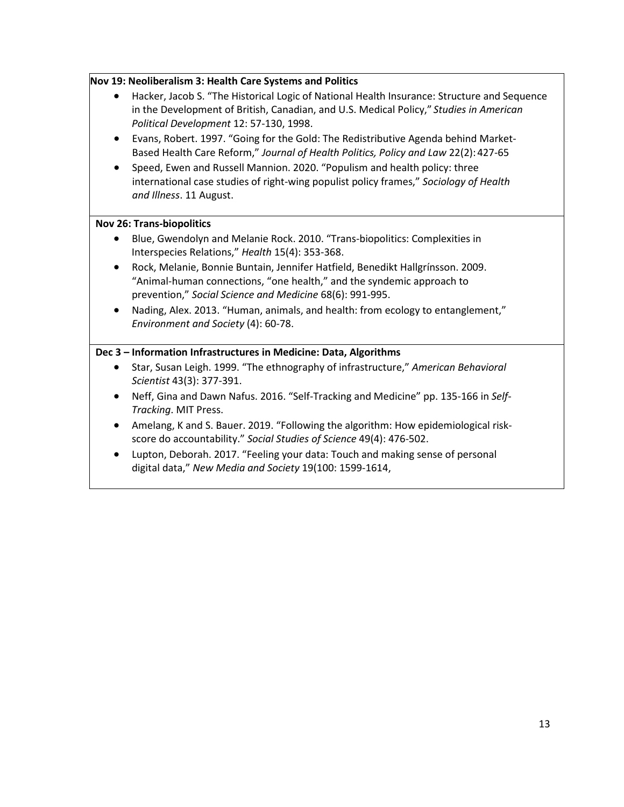### **Nov 19: Neoliberalism 3: Health Care Systems and Politics**

- Hacker, Jacob S. "The Historical Logic of National Health Insurance: Structure and Sequence in the Development of British, Canadian, and U.S. Medical Policy," *Studies in American Political Development* 12: 57-130, 1998.
- Evans, Robert. 1997. "Going for the Gold: The Redistributive Agenda behind Market-Based Health Care Reform," *Journal of Health Politics, Policy and Law* 22(2):427-65
- Speed, Ewen and Russell Mannion. 2020. "Populism and health policy: three international case studies of right-wing populist policy frames," *Sociology of Health and Illness*. 11 August.

#### **Nov 26: Trans-biopolitics**

- Blue, Gwendolyn and Melanie Rock. 2010. "Trans-biopolitics: Complexities in Interspecies Relations," *Health* 15(4): 353-368.
- Rock, Melanie, Bonnie Buntain, Jennifer Hatfield, Benedikt Hallgrínsson. 2009. "Animal-human connections, "one health," and the syndemic approach to prevention," *Social Science and Medicine* 68(6): 991-995.
- Nading, Alex. 2013. "Human, animals, and health: from ecology to entanglement," *Environment and Society* (4): 60-78.

### **Dec 3 – Information Infrastructures in Medicine: Data, Algorithms**

- Star, Susan Leigh. 1999. "The ethnography of infrastructure," *American Behavioral Scientist* 43(3): 377-391.
- Neff, Gina and Dawn Nafus. 2016. "Self-Tracking and Medicine" pp. 135-166 in *Self-Tracking*. MIT Press.
- Amelang, K and S. Bauer. 2019. "Following the algorithm: How epidemiological riskscore do accountability." *Social Studies of Science* 49(4): 476-502.
- Lupton, Deborah. 2017. "Feeling your data: Touch and making sense of personal digital data," *New Media and Society* 19(100: 1599-1614,